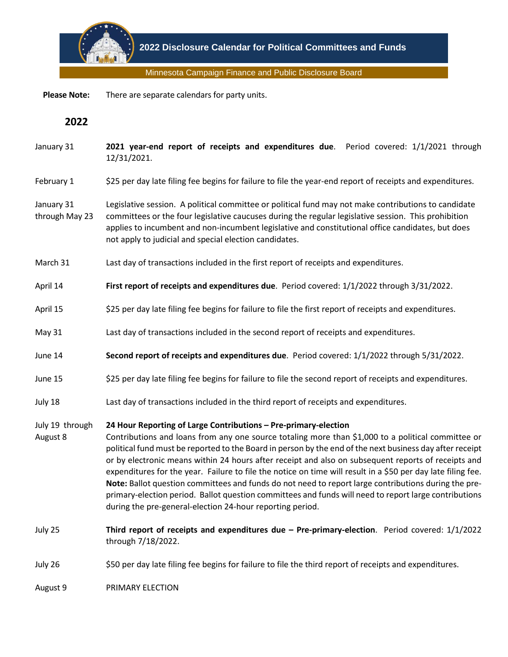

Minnesota Campaign Finance and Public Disclosure Board

 **Please Note:** There are separate calendars for party units.

**2022**

- January 31 **2021 year-end report of receipts and expenditures due**. Period covered: 1/1/2021 through 12/31/2021.
- February 1 \$25 per day late filing fee begins for failure to file the year-end report of receipts and expenditures.
- January 31 through May 23 Legislative session. A political committee or political fund may not make contributions to candidate committees or the four legislative caucuses during the regular legislative session. This prohibition applies to incumbent and non-incumbent legislative and constitutional office candidates, but does not apply to judicial and special election candidates.
- March 31 Last day of transactions included in the first report of receipts and expenditures.
- April 14 **First report of receipts and expenditures due**. Period covered: 1/1/2022 through 3/31/2022.
- April 15 \$25 per day late filing fee begins for failure to file the first report of receipts and expenditures.
- May 31 Last day of transactions included in the second report of receipts and expenditures.
- June 14 **Second report of receipts and expenditures due**. Period covered: 1/1/2022 through 5/31/2022.
- June 15 \$25 per day late filing fee begins for failure to file the second report of receipts and expenditures.
- July 18 Last day of transactions included in the third report of receipts and expenditures.

## July 19 through **24 Hour Reporting of Large Contributions – Pre-primary-election**

- August 8 Contributions and loans from any one source totaling more than \$1,000 to a political committee or political fund must be reported to the Board in person by the end of the next business day after receipt or by electronic means within 24 hours after receipt and also on subsequent reports of receipts and expenditures for the year. Failure to file the notice on time will result in a \$50 per day late filing fee. **Note:** Ballot question committees and funds do not need to report large contributions during the preprimary-election period. Ballot question committees and funds will need to report large contributions during the pre-general-election 24-hour reporting period.
- July 25 **Third report of receipts and expenditures due – Pre-primary-election**. Period covered: 1/1/2022 through 7/18/2022.
- July 26 \$50 per day late filing fee begins for failure to file the third report of receipts and expenditures.

August 9 PRIMARY ELECTION